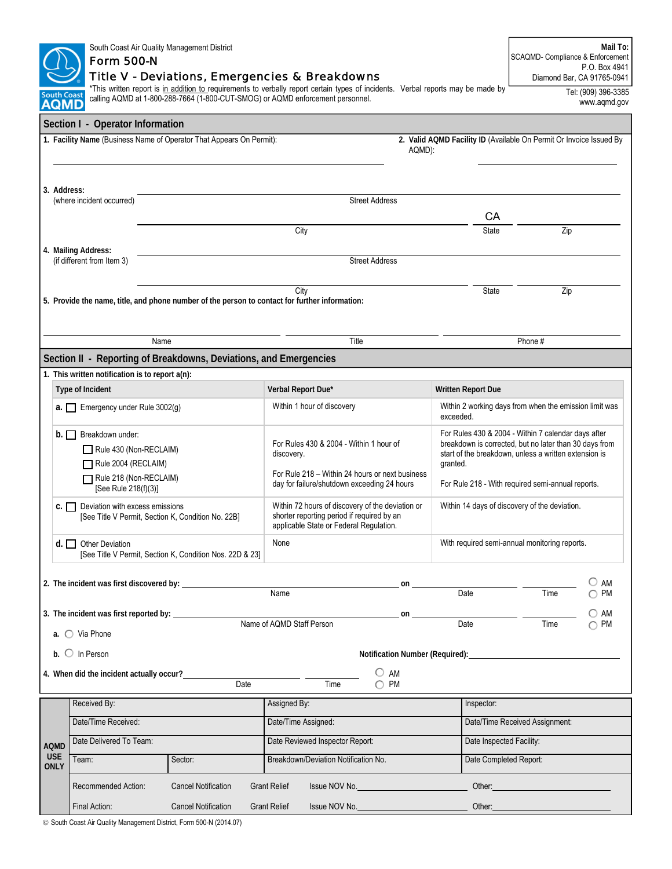|                                                                   | South Coast Air Quality Management District<br><b>Form 500-N</b><br><b>Title V - Deviations, Emergencies &amp; Breakdowns</b>                         | Mail To:<br>SCAQMD- Compliance & Enforcement<br>P.O. Box 4941<br>Diamond Bar, CA 91765-0941    |                                                                                                                                                         |                                                                                                                                                                                                                                |                                |                                     |  |  |  |  |  |
|-------------------------------------------------------------------|-------------------------------------------------------------------------------------------------------------------------------------------------------|------------------------------------------------------------------------------------------------|---------------------------------------------------------------------------------------------------------------------------------------------------------|--------------------------------------------------------------------------------------------------------------------------------------------------------------------------------------------------------------------------------|--------------------------------|-------------------------------------|--|--|--|--|--|
| <b>South Coast</b><br><b>AQMD</b>                                 |                                                                                                                                                       | calling AQMD at 1-800-288-7664 (1-800-CUT-SMOG) or AQMD enforcement personnel.                 | *This written report is in addition to requirements to verbally report certain types of incidents. Verbal reports may be made by                        |                                                                                                                                                                                                                                |                                | Tel: (909) 396-3385<br>www.aqmd.gov |  |  |  |  |  |
|                                                                   | Section I - Operator Information                                                                                                                      |                                                                                                |                                                                                                                                                         |                                                                                                                                                                                                                                |                                |                                     |  |  |  |  |  |
|                                                                   | 1. Facility Name (Business Name of Operator That Appears On Permit):<br>2. Valid AQMD Facility ID (Available On Permit Or Invoice Issued By<br>AQMD): |                                                                                                |                                                                                                                                                         |                                                                                                                                                                                                                                |                                |                                     |  |  |  |  |  |
| 3. Address:<br><b>Street Address</b><br>(where incident occurred) |                                                                                                                                                       |                                                                                                |                                                                                                                                                         |                                                                                                                                                                                                                                |                                |                                     |  |  |  |  |  |
|                                                                   |                                                                                                                                                       |                                                                                                | City                                                                                                                                                    | CA<br><b>State</b>                                                                                                                                                                                                             | Zip                            |                                     |  |  |  |  |  |
|                                                                   | 4. Mailing Address:<br>(if different from Item 3)                                                                                                     |                                                                                                | <b>Street Address</b>                                                                                                                                   |                                                                                                                                                                                                                                |                                |                                     |  |  |  |  |  |
|                                                                   |                                                                                                                                                       | 5. Provide the name, title, and phone number of the person to contact for further information: | City                                                                                                                                                    | <b>State</b>                                                                                                                                                                                                                   | Zip                            |                                     |  |  |  |  |  |
|                                                                   |                                                                                                                                                       | Name                                                                                           | Title                                                                                                                                                   |                                                                                                                                                                                                                                | Phone #                        |                                     |  |  |  |  |  |
|                                                                   |                                                                                                                                                       | Section II - Reporting of Breakdowns, Deviations, and Emergencies                              |                                                                                                                                                         |                                                                                                                                                                                                                                |                                |                                     |  |  |  |  |  |
|                                                                   | 1. This written notification is to report a(n):                                                                                                       |                                                                                                |                                                                                                                                                         |                                                                                                                                                                                                                                |                                |                                     |  |  |  |  |  |
|                                                                   | Type of Incident                                                                                                                                      |                                                                                                | Verbal Report Due*                                                                                                                                      |                                                                                                                                                                                                                                |                                |                                     |  |  |  |  |  |
|                                                                   | $a.$ Emergency under Rule 3002(g)                                                                                                                     |                                                                                                | Within 1 hour of discovery                                                                                                                              | Within 2 working days from when the emission limit was<br>exceeded.                                                                                                                                                            |                                |                                     |  |  |  |  |  |
|                                                                   | $b.$ Breakdown under:<br>Rule 430 (Non-RECLAIM)<br>Rule 2004 (RECLAIM)<br>Rule 218 (Non-RECLAIM)<br>[See Rule 218(f)(3)]                              |                                                                                                | For Rules 430 & 2004 - Within 1 hour of<br>discovery.<br>For Rule 218 – Within 24 hours or next business<br>day for failure/shutdown exceeding 24 hours | For Rules 430 & 2004 - Within 7 calendar days after<br>breakdown is corrected, but no later than 30 days from<br>start of the breakdown, unless a written extension is<br>For Rule 218 - With required semi-annual reports.    |                                |                                     |  |  |  |  |  |
|                                                                   | $C.$ Deviation with excess emissions                                                                                                                  | [See Title V Permit, Section K, Condition No. 22B]                                             | Within 72 hours of discovery of the deviation or<br>shorter reporting period if required by an<br>applicable State or Federal Regulation.               | Within 14 days of discovery of the deviation.                                                                                                                                                                                  |                                |                                     |  |  |  |  |  |
|                                                                   | $d.$ Other Deviation                                                                                                                                  | [See Title V Permit, Section K, Condition Nos. 22D & 23]                                       | None                                                                                                                                                    | With required semi-annual monitoring reports.                                                                                                                                                                                  |                                |                                     |  |  |  |  |  |
|                                                                   |                                                                                                                                                       |                                                                                                |                                                                                                                                                         |                                                                                                                                                                                                                                |                                |                                     |  |  |  |  |  |
|                                                                   | 2. The incident was first discovered by:                                                                                                              |                                                                                                | on<br>Name                                                                                                                                              | Date                                                                                                                                                                                                                           | Time                           | AM<br><b>PM</b>                     |  |  |  |  |  |
|                                                                   |                                                                                                                                                       |                                                                                                | on<br>Name of AQMD Staff Person                                                                                                                         | Date                                                                                                                                                                                                                           | Time                           | $\bigcirc$ am<br>$\bigcap$ PM       |  |  |  |  |  |
|                                                                   | a. O Via Phone<br>$b.$ O In Person                                                                                                                    |                                                                                                |                                                                                                                                                         |                                                                                                                                                                                                                                |                                |                                     |  |  |  |  |  |
|                                                                   | 4. When did the incident actually occur?                                                                                                              | Date                                                                                           | $\circ$ am<br>$\bigcirc$ PM<br>Time                                                                                                                     |                                                                                                                                                                                                                                |                                |                                     |  |  |  |  |  |
|                                                                   | Received By:                                                                                                                                          |                                                                                                | Assigned By:                                                                                                                                            | Inspector:                                                                                                                                                                                                                     |                                |                                     |  |  |  |  |  |
|                                                                   | Date/Time Received:                                                                                                                                   |                                                                                                | Date/Time Assigned:                                                                                                                                     |                                                                                                                                                                                                                                | Date/Time Received Assignment: |                                     |  |  |  |  |  |
| <b>AQMD</b>                                                       | Date Delivered To Team:                                                                                                                               |                                                                                                | Date Reviewed Inspector Report:                                                                                                                         |                                                                                                                                                                                                                                | Date Inspected Facility:       |                                     |  |  |  |  |  |
| <b>USE</b><br><b>ONLY</b>                                         | Team:                                                                                                                                                 | Sector:                                                                                        | Breakdown/Deviation Notification No.                                                                                                                    | Date Completed Report:                                                                                                                                                                                                         |                                |                                     |  |  |  |  |  |
|                                                                   | Recommended Action:                                                                                                                                   | <b>Cancel Notification</b>                                                                     | <b>Grant Relief</b><br>Issue NOV No. <b>CONVERGATION</b>                                                                                                | Other: when the contract of the contract of the contract of the contract of the contract of the contract of the contract of the contract of the contract of the contract of the contract of the contract of the contract of th |                                |                                     |  |  |  |  |  |
|                                                                   | Final Action:                                                                                                                                         | <b>Cancel Notification</b><br><b>Grant Relief</b>                                              | Other:                                                                                                                                                  |                                                                                                                                                                                                                                |                                |                                     |  |  |  |  |  |

 $\circ$  South Coast Air Quality Management District, Form 500-N (2014.07)